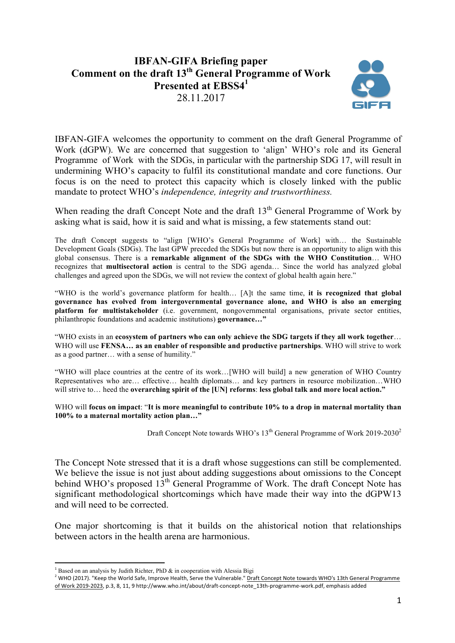# **IBFAN-GIFA Briefing paper Comment on the draft 13th General Programme of Work Presented at EBSS4<sup>1</sup>** 28.11.2017



IBFAN-GIFA welcomes the opportunity to comment on the draft General Programme of Work (dGPW). We are concerned that suggestion to 'align' WHO's role and its General Programme of Work with the SDGs, in particular with the partnership SDG 17, will result in undermining WHO's capacity to fulfil its constitutional mandate and core functions. Our focus is on the need to protect this capacity which is closely linked with the public mandate to protect WHO's *independence, integrity and trustworthiness.*

When reading the draft Concept Note and the draft  $13<sup>th</sup>$  General Programme of Work by asking what is said, how it is said and what is missing, a few statements stand out:

The draft Concept suggests to "align [WHO's General Programme of Work] with… the Sustainable Development Goals (SDGs). The last GPW preceded the SDGs but now there is an opportunity to align with this global consensus. There is a **remarkable alignment of the SDGs with the WHO Constitution**… WHO recognizes that **multisectoral action** is central to the SDG agenda… Since the world has analyzed global challenges and agreed upon the SDGs, we will not review the context of global health again here."

"WHO is the world's governance platform for health… [A]t the same time, **it is recognized that global governance has evolved from intergovernmental governance alone, and WHO is also an emerging platform for multistakeholder** (i.e. government, nongovernmental organisations, private sector entities, philanthropic foundations and academic institutions) **governance…"**

"WHO exists in an **ecosystem of partners who can only achieve the SDG targets if they all work together**… WHO will use **FENSA… as an enabler of responsible and productive partnerships**. WHO will strive to work as a good partner… with a sense of humility."

"WHO will place countries at the centre of its work…[WHO will build] a new generation of WHO Country Representatives who are… effective… health diplomats… and key partners in resource mobilization…WHO will strive to… heed the **overarching spirit of the [UN] reforms**: **less global talk and more local action."**

WHO will **focus on impact**: "**It is more meaningful to contribute 10% to a drop in maternal mortality than 100% to a maternal mortality action plan…"**

Draft Concept Note towards WHO's  $13<sup>th</sup>$  General Programme of Work 2019-2030<sup>2</sup>

The Concept Note stressed that it is a draft whose suggestions can still be complemented. We believe the issue is not just about adding suggestions about omissions to the Concept behind WHO's proposed 13<sup>th</sup> General Programme of Work. The draft Concept Note has significant methodological shortcomings which have made their way into the dGPW13 and will need to be corrected.

One major shortcoming is that it builds on the ahistorical notion that relationships between actors in the health arena are harmonious.

 

<sup>&</sup>lt;sup>1</sup> Based on an analysis by Judith Richter, PhD  $\&$  in cooperation with Alessia Bigi

<sup>2</sup> WHO (2017). "Keep the World Safe, Improve Health, Serve the Vulnerable." Draft Concept Note towards WHO's 13th General Programme of Work 2019-2023, p.3, 8, 11, 9 http://www.who.int/about/draft-concept-note\_13th-programme-work.pdf, emphasis added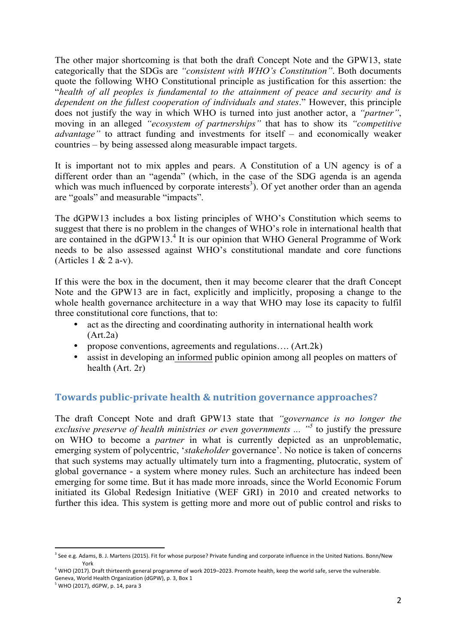The other major shortcoming is that both the draft Concept Note and the GPW13, state categorically that the SDGs are *"consistent with WHO's Constitution"*. Both documents quote the following WHO Constitutional principle as justification for this assertion: the "*health of all peoples is fundamental to the attainment of peace and security and is dependent on the fullest cooperation of individuals and states*." However, this principle does not justify the way in which WHO is turned into just another actor, a *"partner"*, moving in an alleged *"ecosystem of partnerships"* that has to show its *"competitive advantage"* to attract funding and investments for itself – and economically weaker countries – by being assessed along measurable impact targets.

It is important not to mix apples and pears. A Constitution of a UN agency is of a different order than an "agenda" (which, in the case of the SDG agenda is an agenda which was much influenced by corporate interests<sup>3</sup>). Of yet another order than an agenda are "goals" and measurable "impacts".

The dGPW13 includes a box listing principles of WHO's Constitution which seems to suggest that there is no problem in the changes of WHO's role in international health that are contained in the dGPW13.<sup>4</sup> It is our opinion that WHO General Programme of Work needs to be also assessed against WHO's constitutional mandate and core functions (Articles  $1 \& 2$  a-v).

If this were the box in the document, then it may become clearer that the draft Concept Note and the GPW13 are in fact, explicitly and implicitly, proposing a change to the whole health governance architecture in a way that WHO may lose its capacity to fulfil three constitutional core functions, that to:

- act as the directing and coordinating authority in international health work  $(Art.2a)$
- propose conventions, agreements and regulations…. (Art.2k)
- assist in developing an informed public opinion among all peoples on matters of health (Art. 2r)

### **Towards public-private health & nutrition governance approaches?**

The draft Concept Note and draft GPW13 state that *"governance is no longer the exclusive preserve of health ministries or even governments ... "<sup>5</sup>* to justify the pressure on WHO to become a *partner* in what is currently depicted as an unproblematic, emerging system of polycentric, '*stakeholder* governance'. No notice is taken of concerns that such systems may actually ultimately turn into a fragmenting, plutocratic, system of global governance - a system where money rules. Such an architecture has indeed been emerging for some time. But it has made more inroads, since the World Economic Forum initiated its Global Redesign Initiative (WEF GRI) in 2010 and created networks to further this idea. This system is getting more and more out of public control and risks to

 

<sup>&</sup>lt;sup>3</sup> See e.g. Adams, B. J. Martens (2015). Fit for whose purpose? Private funding and corporate influence in the United Nations. Bonn/New York

 $4$  WHO (2017). Draft thirteenth general programme of work 2019–2023. Promote health, keep the world safe, serve the vulnerable. Geneva, World Health Organization (dGPW), p. 3, Box 1

 $5$  WHO (2017), dGPW, p. 14, para 3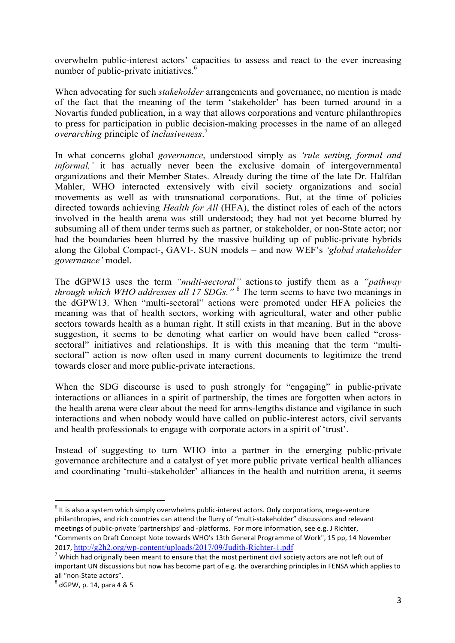overwhelm public-interest actors' capacities to assess and react to the ever increasing number of public-private initiatives.<sup>6</sup>

When advocating for such *stakeholder* arrangements and governance, no mention is made of the fact that the meaning of the term 'stakeholder' has been turned around in a Novartis funded publication, in a way that allows corporations and venture philanthropies to press for participation in public decision-making processes in the name of an alleged *overarching* principle of *inclusiveness*. 7

In what concerns global *governance*, understood simply as *'rule setting, formal and informal,'* it has actually never been the exclusive domain of intergovernmental organizations and their Member States. Already during the time of the late Dr. Halfdan Mahler, WHO interacted extensively with civil society organizations and social movements as well as with transnational corporations. But, at the time of policies directed towards achieving *Health for All* (HFA), the distinct roles of each of the actors involved in the health arena was still understood; they had not yet become blurred by subsuming all of them under terms such as partner, or stakeholder, or non-State actor; nor had the boundaries been blurred by the massive building up of public-private hybrids along the Global Compact-, GAVI-, SUN models – and now WEF's *'global stakeholder governance'* model.

The dGPW13 uses the term *"multi-sectoral"* actions to justify them as a "pathway" *through which WHO addresses all 17 SDGs."* <sup>8</sup> The term seems to have two meanings in the dGPW13. When "multi-sectoral" actions were promoted under HFA policies the meaning was that of health sectors, working with agricultural, water and other public sectors towards health as a human right. It still exists in that meaning. But in the above suggestion, it seems to be denoting what earlier on would have been called "crosssectoral" initiatives and relationships. It is with this meaning that the term "multisectoral" action is now often used in many current documents to legitimize the trend towards closer and more public-private interactions.

When the SDG discourse is used to push strongly for "engaging" in public-private interactions or alliances in a spirit of partnership, the times are forgotten when actors in the health arena were clear about the need for arms-lengths distance and vigilance in such interactions and when nobody would have called on public-interest actors, civil servants and health professionals to engage with corporate actors in a spirit of 'trust'.

Instead of suggesting to turn WHO into a partner in the emerging public-private governance architecture and a catalyst of yet more public private vertical health alliances and coordinating 'multi-stakeholder' alliances in the health and nutrition arena, it seems

 $^6$  It is also a system which simply overwhelms public-interest actors. Only corporations, mega-venture philanthropies, and rich countries can attend the flurry of "multi-stakeholder" discussions and relevant meetings of public-private 'partnerships' and -platforms. For more information, see e.g. J Richter, "Comments on Draft Concept Note towards WHO's 13th General Programme of Work", 15 pp, 14 November

<sup>2017,</sup>  $\frac{http://g2h2.org/wp-content-uploads/2017/09/Judith-Richter-1.pdf}{\nN$  Which had originally been meant to ensure that the most pertinent civil society actors are not left out of important UN discussions but now has become part of e.g. the overarching principles in FENSA which applies to all "non-State actors".<br> $8$  dGPW, p. 14, para 4 & 5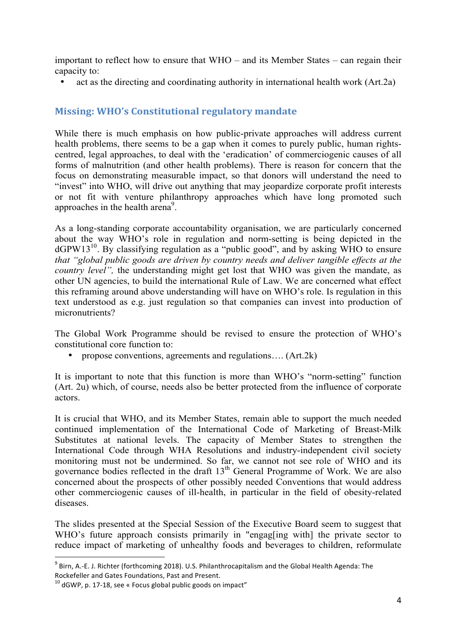important to reflect how to ensure that WHO – and its Member States – can regain their capacity to:

• act as the directing and coordinating authority in international health work (Art.2a)

# **Missing: WHO's Constitutional regulatory mandate**

While there is much emphasis on how public-private approaches will address current health problems, there seems to be a gap when it comes to purely public, human rightscentred, legal approaches, to deal with the 'eradication' of commerciogenic causes of all forms of malnutrition (and other health problems). There is reason for concern that the focus on demonstrating measurable impact, so that donors will understand the need to "invest" into WHO, will drive out anything that may jeopardize corporate profit interests or not fit with venture philanthropy approaches which have long promoted such approaches in the health arena<sup>9</sup>.

As a long-standing corporate accountability organisation, we are particularly concerned about the way WHO's role in regulation and norm-setting is being depicted in the  $dGPW13<sup>10</sup>$ . By classifying regulation as a "public good", and by asking WHO to ensure *that "global public goods are driven by country needs and deliver tangible effects at the country level",* the understanding might get lost that WHO was given the mandate, as other UN agencies, to build the international Rule of Law. We are concerned what effect this reframing around above understanding will have on WHO's role. Is regulation in this text understood as e.g. just regulation so that companies can invest into production of micronutrients?

The Global Work Programme should be revised to ensure the protection of WHO's constitutional core function to:

• propose conventions, agreements and regulations…. (Art.2k)

It is important to note that this function is more than WHO's "norm-setting" function (Art. 2u) which, of course, needs also be better protected from the influence of corporate actors.

It is crucial that WHO, and its Member States, remain able to support the much needed continued implementation of the International Code of Marketing of Breast-Milk Substitutes at national levels. The capacity of Member States to strengthen the International Code through WHA Resolutions and industry-independent civil society monitoring must not be undermined. So far, we cannot not see role of WHO and its governance bodies reflected in the draft  $13<sup>th</sup>$  General Programme of Work. We are also concerned about the prospects of other possibly needed Conventions that would address other commerciogenic causes of ill-health, in particular in the field of obesity-related diseases.

The slides presented at the Special Session of the Executive Board seem to suggest that WHO's future approach consists primarily in "engag[ing with] the private sector to reduce impact of marketing of unhealthy foods and beverages to children, reformulate

 $9$  Birn, A.-E. J. Richter (forthcoming 2018). U.S. Philanthrocapitalism and the Global Health Agenda: The Rockefeller and Gates Foundations, Past and Present.

 $10$  dGWP, p. 17-18, see « Focus global public goods on impact"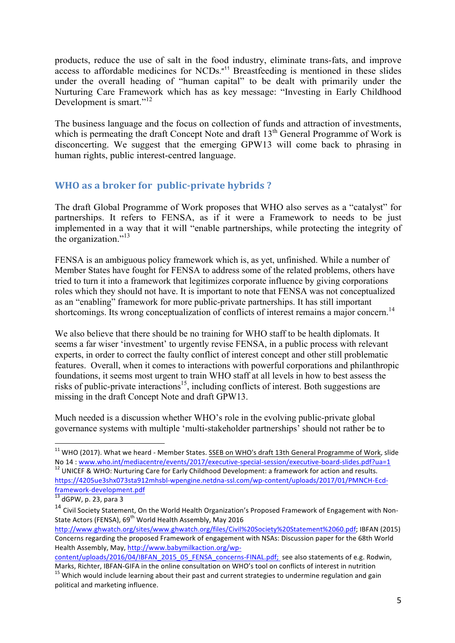products, reduce the use of salt in the food industry, eliminate trans-fats, and improve access to affordable medicines for NCDs." <sup>11</sup> Breastfeeding is mentioned in these slides under the overall heading of "human capital" to be dealt with primarily under the Nurturing Care Framework which has as key message: "Investing in Early Childhood Development is smart."<sup>12</sup>

The business language and the focus on collection of funds and attraction of investments, which is permeating the draft Concept Note and draft  $13<sup>th</sup>$  General Programme of Work is disconcerting. We suggest that the emerging GPW13 will come back to phrasing in human rights, public interest-centred language.

# **WHO** as a broker for public-private hybrids?

The draft Global Programme of Work proposes that WHO also serves as a "catalyst" for partnerships. It refers to FENSA, as if it were a Framework to needs to be just implemented in a way that it will "enable partnerships, while protecting the integrity of the organization." 13

FENSA is an ambiguous policy framework which is, as yet, unfinished. While a number of Member States have fought for FENSA to address some of the related problems, others have tried to turn it into a framework that legitimizes corporate influence by giving corporations roles which they should not have. It is important to note that FENSA was not conceptualized as an "enabling" framework for more public-private partnerships. It has still important shortcomings. Its wrong conceptualization of conflicts of interest remains a major concern.<sup>14</sup>

We also believe that there should be no training for WHO staff to be health diplomats. It seems a far wiser 'investment' to urgently revise FENSA, in a public process with relevant experts, in order to correct the faulty conflict of interest concept and other still problematic features. Overall, when it comes to interactions with powerful corporations and philanthropic foundations, it seems most urgent to train WHO staff at all levels in how to best assess the risks of public-private interactions<sup>15</sup>, including conflicts of interest. Both suggestions are missing in the draft Concept Note and draft GPW13.

Much needed is a discussion whether WHO's role in the evolving public-private global governance systems with multiple 'multi-stakeholder partnerships' should not rather be to

 $11$  WHO (2017). What we heard - Member States. SSEB on WHO's draft 13th General Programme of Work, slide No 14 : www.who.int/mediacentre/events/2017/executive-special-session/executive-board-slides.pdf?ua=1<sup>12</sup> UNICEF & WHO: Nurturing Care for Early Childhood Development: a framework for action and results.

https://4205ue3shx073sta912mhsbl-wpengine.netdna-ssl.com/wp-content/uploads/2017/01/PMNCH-Ecdframework-development.pdf<br>
<sup>13</sup> dGPW, p. 23, para 3

<sup>&</sup>lt;sup>14</sup> Civil Society Statement, On the World Health Organization's Proposed Framework of Engagement with Non-State Actors (FENSA), 69<sup>th</sup> World Health Assembly, May 2016

http://www.ghwatch.org/sites/www.ghwatch.org/files/Civil%20Society%20Statement%2060.pdf; IBFAN (2015) Concerns regarding the proposed Framework of engagement with NSAs: Discussion paper for the 68th World Health Assembly, May, http://www.babymilkaction.org/wp-

content/uploads/2016/04/IBFAN\_2015\_05\_FENSA\_concerns-FINAL.pdf; see also statements of e.g. Rodwin, Marks, Richter, IBFAN-GIFA in the online consultation on WHO's tool on conflicts of interest in nutrition  $15$  Which would include learning about their past and current strategies to undermine regulation and gain

political and marketing influence.